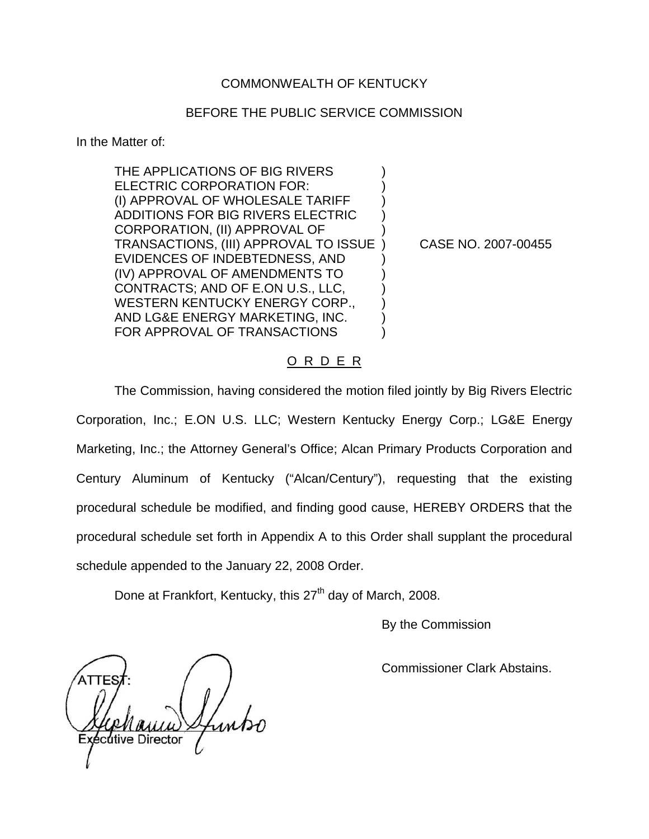### COMMONWEALTH OF KENTUCKY

#### BEFORE THE PUBLIC SERVICE COMMISSION

In the Matter of:

THE APPLICATIONS OF BIG RIVERS ELECTRIC CORPORATION FOR: (I) APPROVAL OF WHOLESALE TARIFF ) ADDITIONS FOR BIG RIVERS ELECTRIC ) CORPORATION, (II) APPROVAL OF ) TRANSACTIONS, (III) APPROVAL TO ISSUE ) CASE NO. 2007-00455 EVIDENCES OF INDEBTEDNESS, AND ) (IV) APPROVAL OF AMENDMENTS TO ) CONTRACTS; AND OF E.ON U.S., LLC, ) WESTERN KENTUCKY ENERGY CORP., AND LG&E ENERGY MARKETING, INC. ) FOR APPROVAL OF TRANSACTIONS

### O R D E R

The Commission, having considered the motion filed jointly by Big Rivers Electric Corporation, Inc.; E.ON U.S. LLC; Western Kentucky Energy Corp.; LG&E Energy Marketing, Inc.; the Attorney General's Office; Alcan Primary Products Corporation and Century Aluminum of Kentucky ("Alcan/Century"), requesting that the existing procedural schedule be modified, and finding good cause, HEREBY ORDERS that the procedural schedule set forth in Appendix A to this Order shall supplant the procedural schedule appended to the January 22, 2008 Order.

Done at Frankfort, Kentucky, this 27<sup>th</sup> day of March, 2008.

By the Commission

Commissioner Clark Abstains.

écútive Director